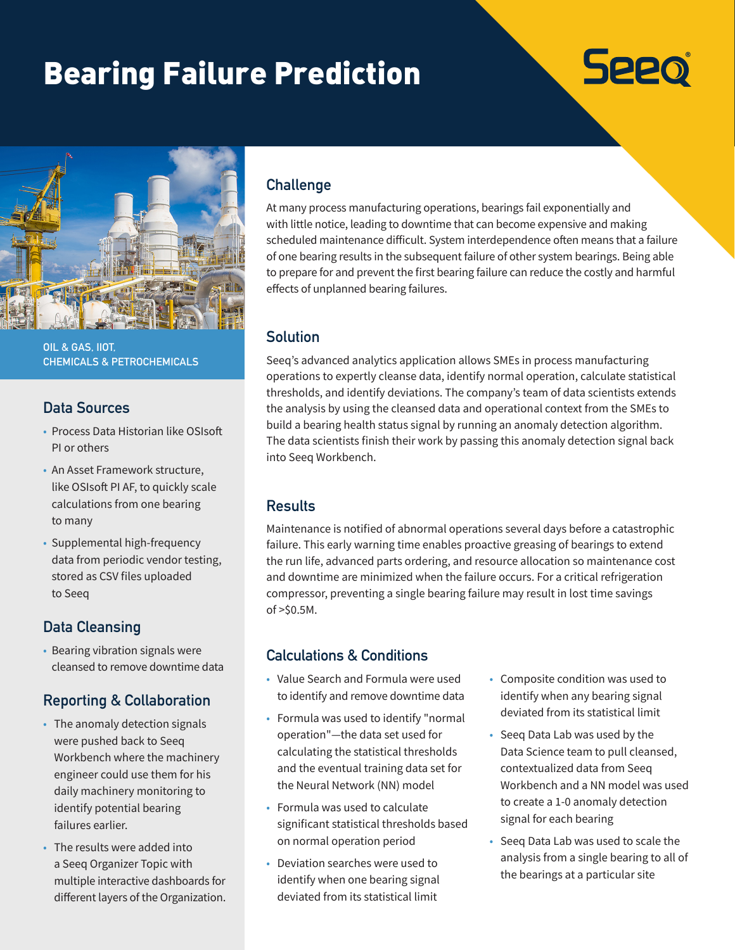# Bearing Failure Prediction





**OIL & GAS, IIOT, CHEMICALS & PETROCHEMICALS**

#### **Data Sources**

- Process Data Historian like OSIsoft PI or others
- An Asset Framework structure, like OSIsoft PI AF, to quickly scale calculations from one bearing to many
- Supplemental high-frequency data from periodic vendor testing, stored as CSV files uploaded to Seeq

## **Data Cleansing**

• Bearing vibration signals were cleansed to remove downtime data

#### **Reporting & Collaboration**

- The anomaly detection signals were pushed back to Seeq Workbench where the machinery engineer could use them for his daily machinery monitoring to identify potential bearing failures earlier.
- The results were added into a Seeq Organizer Topic with multiple interactive dashboards for different layers of the Organization.

#### **Challenge**

At many process manufacturing operations, bearings fail exponentially and with little notice, leading to downtime that can become expensive and making scheduled maintenance difficult. System interdependence often means that a failure of one bearing results in the subsequent failure of other system bearings. Being able to prepare for and prevent the first bearing failure can reduce the costly and harmful effects of unplanned bearing failures.

#### **Solution**

Seeq's advanced analytics application allows SMEs in process manufacturing operations to expertly cleanse data, identify normal operation, calculate statistical thresholds, and identify deviations. The company's team of data scientists extends the analysis by using the cleansed data and operational context from the SMEs to build a bearing health status signal by running an anomaly detection algorithm. The data scientists finish their work by passing this anomaly detection signal back into Seeq Workbench.

#### **Results**

Maintenance is notified of abnormal operations several days before a catastrophic failure. This early warning time enables proactive greasing of bearings to extend the run life, advanced parts ordering, and resource allocation so maintenance cost and downtime are minimized when the failure occurs. For a critical refrigeration compressor, preventing a single bearing failure may result in lost time savings of >\$0.5M.

## **Calculations & Conditions**

- Value Search and Formula were used to identify and remove downtime data
- Formula was used to identify "normal operation"—the data set used for calculating the statistical thresholds and the eventual training data set for the Neural Network (NN) model
- Formula was used to calculate significant statistical thresholds based on normal operation period
- Deviation searches were used to identify when one bearing signal deviated from its statistical limit
- Composite condition was used to identify when any bearing signal deviated from its statistical limit
- Seeq Data Lab was used by the Data Science team to pull cleansed, contextualized data from Seeq Workbench and a NN model was used to create a 1-0 anomaly detection signal for each bearing
- Seeq Data Lab was used to scale the analysis from a single bearing to all of the bearings at a particular site